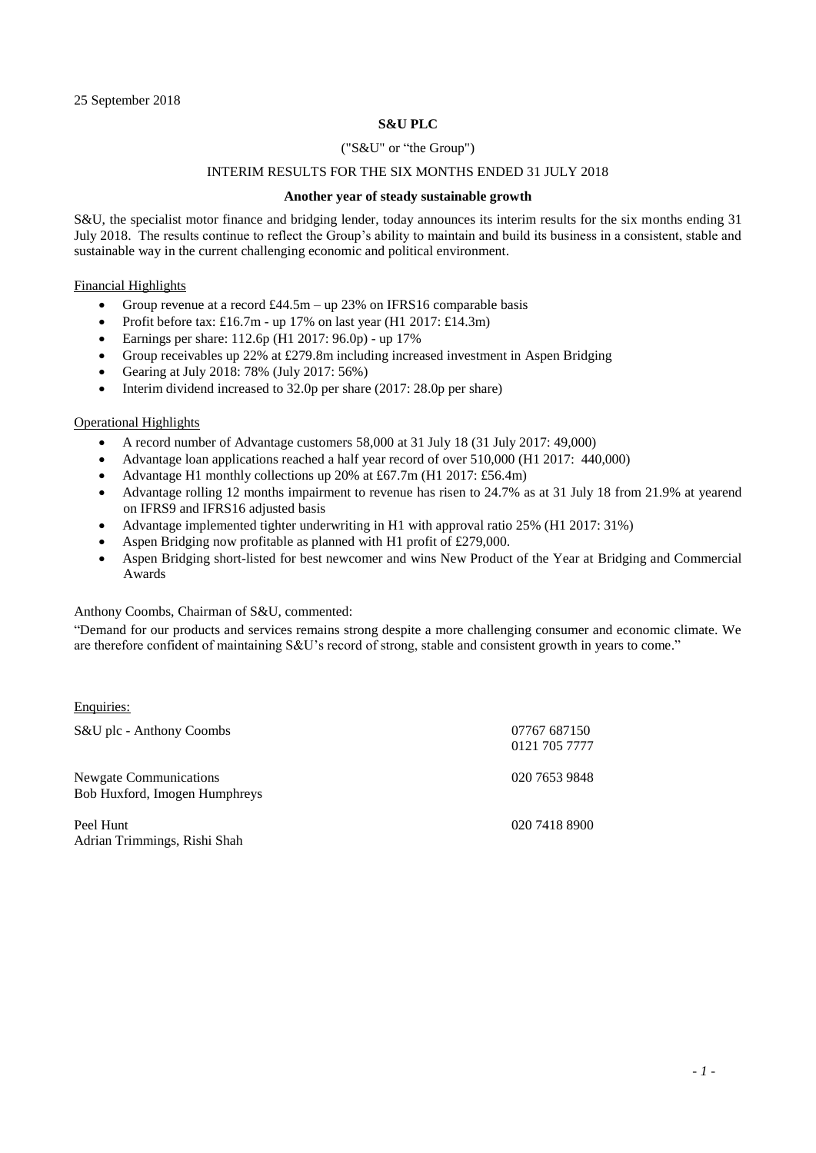## **S&U PLC**

## ("S&U" or "the Group")

### INTERIM RESULTS FOR THE SIX MONTHS ENDED 31 JULY 2018

#### **Another year of steady sustainable growth**

S&U, the specialist motor finance and bridging lender, today announces its interim results for the six months ending 31 July 2018. The results continue to reflect the Group's ability to maintain and build its business in a consistent, stable and sustainable way in the current challenging economic and political environment.

#### Financial Highlights

- Group revenue at a record  $£44.5m up 23%$  on IFRS16 comparable basis
- Profit before tax: £16.7m up 17% on last year (H1 2017: £14.3m)
- Earnings per share:  $112.6p$  (H1 2017: 96.0p) up 17%
- Group receivables up 22% at £279.8m including increased investment in Aspen Bridging
- Gearing at July 2018: 78% (July 2017: 56%)
- Interim dividend increased to 32.0p per share (2017: 28.0p per share)

#### Operational Highlights

 $\ddotsc$ 

- A record number of Advantage customers 58,000 at 31 July 18 (31 July 2017: 49,000)
- Advantage loan applications reached a half year record of over 510,000 (H1 2017: 440,000)
- Advantage H1 monthly collections up 20% at £67.7m (H1 2017: £56.4m)
- Advantage rolling 12 months impairment to revenue has risen to 24.7% as at 31 July 18 from 21.9% at yearend on IFRS9 and IFRS16 adjusted basis
- Advantage implemented tighter underwriting in H1 with approval ratio 25% (H1 2017: 31%)
- Aspen Bridging now profitable as planned with H1 profit of £279,000.
- Aspen Bridging short-listed for best newcomer and wins New Product of the Year at Bridging and Commercial Awards

#### Anthony Coombs, Chairman of S&U, commented:

"Demand for our products and services remains strong despite a more challenging consumer and economic climate. We are therefore confident of maintaining S&U's record of strong, stable and consistent growth in years to come."

| Enquiries:                                                     |                               |
|----------------------------------------------------------------|-------------------------------|
| S&U plc - Anthony Coombs                                       | 07767 687150<br>0121 705 7777 |
| Newgate Communications<br><b>Bob Huxford, Imogen Humphreys</b> | 020 7653 9848                 |
| Peel Hunt<br>Adrian Trimmings, Rishi Shah                      | 020 7418 8900                 |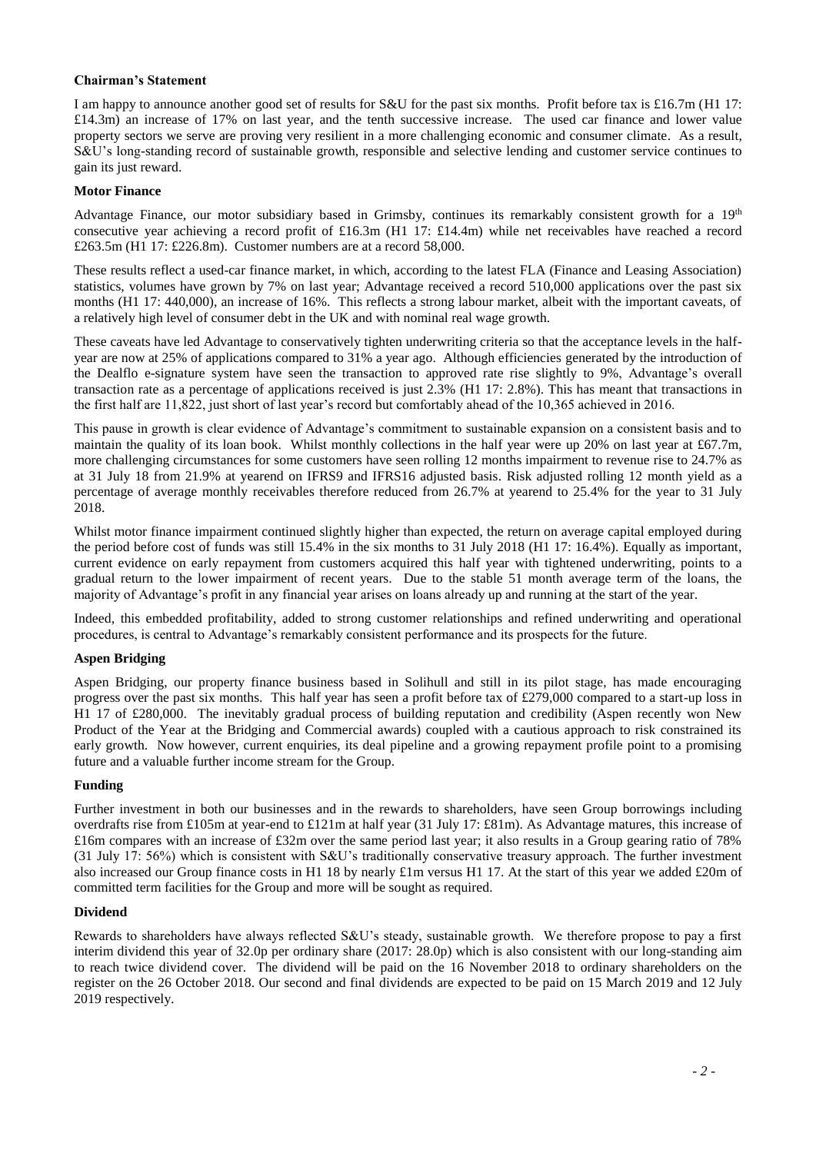## **Chairman's Statement**

I am happy to announce another good set of results for S&U for the past six months. Profit before tax is £16.7m (H1 17: £14.3m) an increase of 17% on last year, and the tenth successive increase. The used car finance and lower value property sectors we serve are proving very resilient in a more challenging economic and consumer climate. As a result, S&U's long-standing record of sustainable growth, responsible and selective lending and customer service continues to gain its just reward.

## **Motor Finance**

Advantage Finance, our motor subsidiary based in Grimsby, continues its remarkably consistent growth for a 19<sup>th</sup> consecutive year achieving a record profit of £16.3m (H1 17: £14.4m) while net receivables have reached a record £263.5m (H1 17: £226.8m). Customer numbers are at a record 58,000.

These results reflect a used-car finance market, in which, according to the latest FLA (Finance and Leasing Association) statistics, volumes have grown by 7% on last year; Advantage received a record 510,000 applications over the past six months (H1 17: 440,000), an increase of 16%. This reflects a strong labour market, albeit with the important caveats, of a relatively high level of consumer debt in the UK and with nominal real wage growth.

These caveats have led Advantage to conservatively tighten underwriting criteria so that the acceptance levels in the halfyear are now at 25% of applications compared to 31% a year ago. Although efficiencies generated by the introduction of the Dealflo e-signature system have seen the transaction to approved rate rise slightly to 9%, Advantage's overall transaction rate as a percentage of applications received is just 2.3% (H1 17: 2.8%). This has meant that transactions in the first half are 11,822, just short of last year's record but comfortably ahead of the 10,365 achieved in 2016.

This pause in growth is clear evidence of Advantage's commitment to sustainable expansion on a consistent basis and to maintain the quality of its loan book. Whilst monthly collections in the half year were up 20% on last year at £67.7m, more challenging circumstances for some customers have seen rolling 12 months impairment to revenue rise to 24.7% as at 31 July 18 from 21.9% at yearend on IFRS9 and IFRS16 adjusted basis. Risk adjusted rolling 12 month yield as a percentage of average monthly receivables therefore reduced from 26.7% at yearend to 25.4% for the year to 31 July 2018.

Whilst motor finance impairment continued slightly higher than expected, the return on average capital employed during the period before cost of funds was still 15.4% in the six months to 31 July 2018 (H1 17: 16.4%). Equally as important, current evidence on early repayment from customers acquired this half year with tightened underwriting, points to a gradual return to the lower impairment of recent years. Due to the stable 51 month average term of the loans, the majority of Advantage's profit in any financial year arises on loans already up and running at the start of the year.

Indeed, this embedded profitability, added to strong customer relationships and refined underwriting and operational procedures, is central to Advantage's remarkably consistent performance and its prospects for the future.

## **Aspen Bridging**

Aspen Bridging, our property finance business based in Solihull and still in its pilot stage, has made encouraging progress over the past six months. This half year has seen a profit before tax of £279,000 compared to a start-up loss in H1 17 of £280,000. The inevitably gradual process of building reputation and credibility (Aspen recently won New Product of the Year at the Bridging and Commercial awards) coupled with a cautious approach to risk constrained its early growth. Now however, current enquiries, its deal pipeline and a growing repayment profile point to a promising future and a valuable further income stream for the Group.

## **Funding**

Further investment in both our businesses and in the rewards to shareholders, have seen Group borrowings including overdrafts rise from £105m at year-end to £121m at half year (31 July 17: £81m). As Advantage matures, this increase of £16m compares with an increase of £32m over the same period last year; it also results in a Group gearing ratio of 78% (31 July 17: 56%) which is consistent with S&U's traditionally conservative treasury approach. The further investment also increased our Group finance costs in H1 18 by nearly £1m versus H1 17. At the start of this year we added £20m of committed term facilities for the Group and more will be sought as required.

## **Dividend**

Rewards to shareholders have always reflected S&U's steady, sustainable growth. We therefore propose to pay a first interim dividend this year of 32.0p per ordinary share (2017: 28.0p) which is also consistent with our long-standing aim to reach twice dividend cover. The dividend will be paid on the 16 November 2018 to ordinary shareholders on the register on the 26 October 2018. Our second and final dividends are expected to be paid on 15 March 2019 and 12 July 2019 respectively.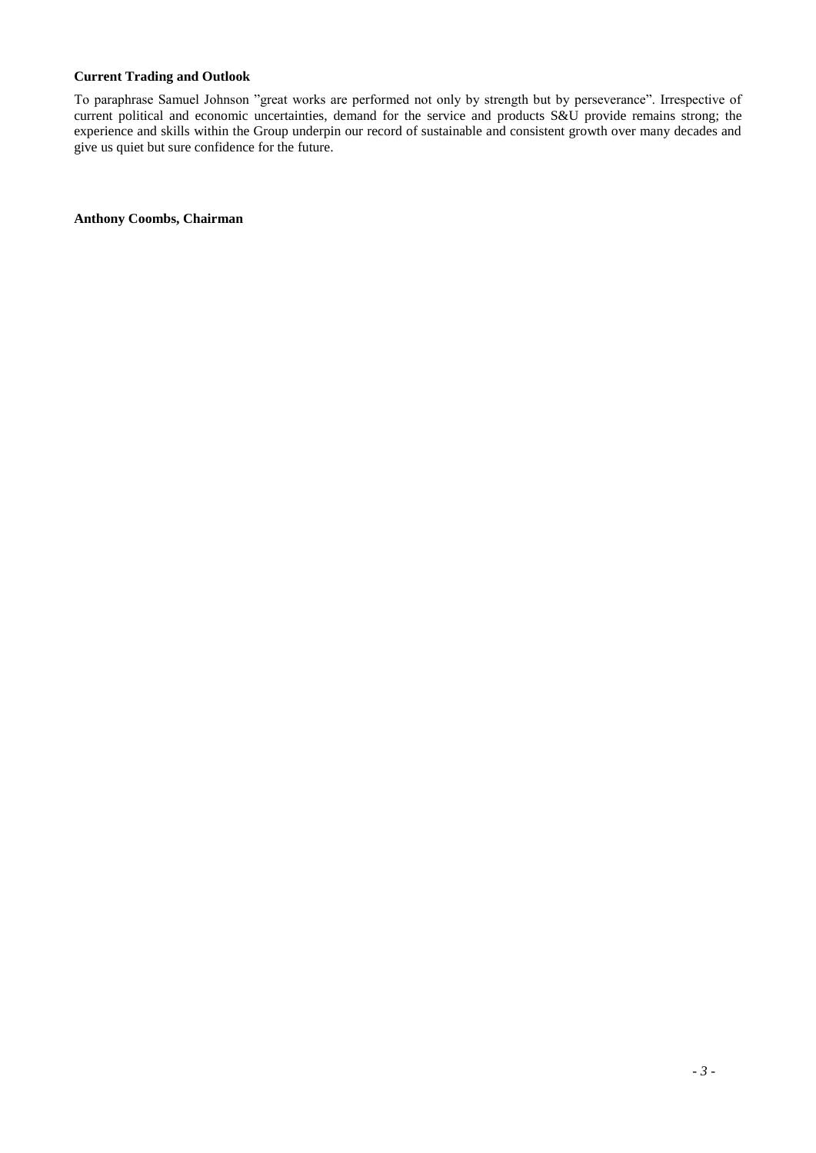## **Current Trading and Outlook**

To paraphrase Samuel Johnson "great works are performed not only by strength but by perseverance". Irrespective of current political and economic uncertainties, demand for the service and products S&U provide remains strong; the experience and skills within the Group underpin our record of sustainable and consistent growth over many decades and give us quiet but sure confidence for the future.

**Anthony Coombs, Chairman**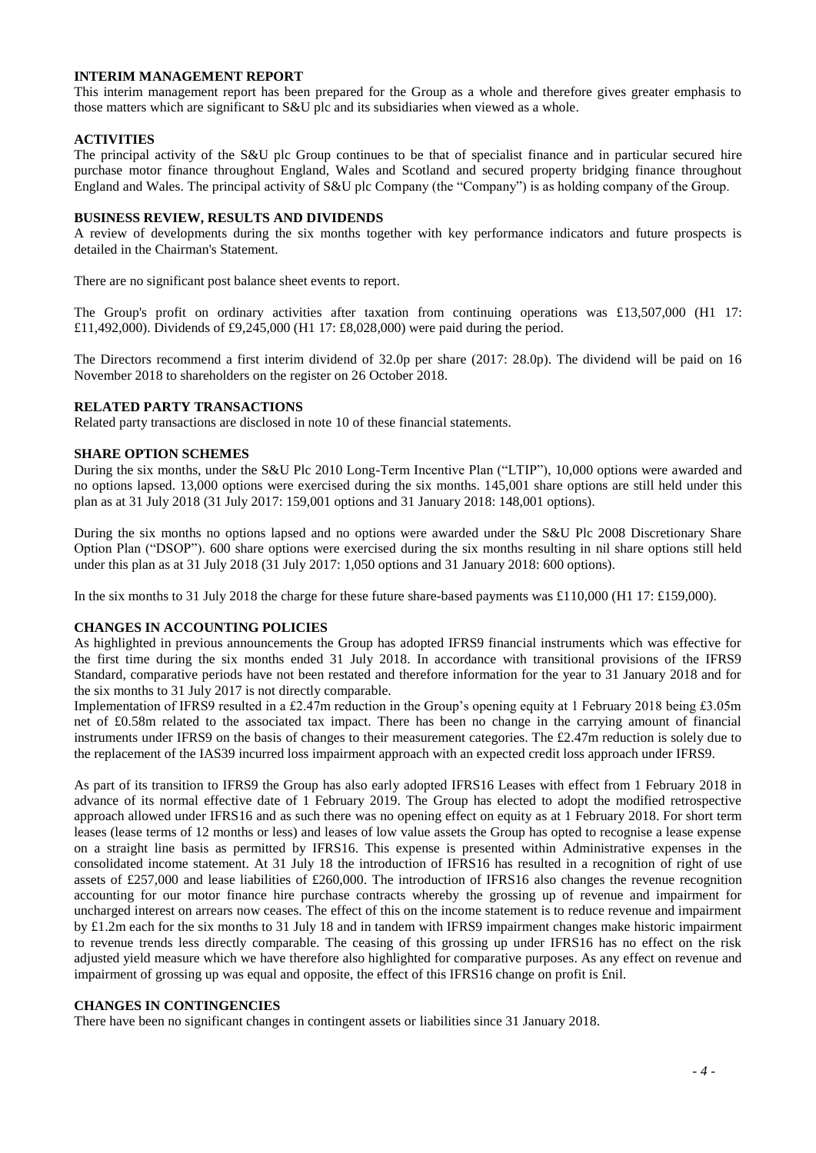### **INTERIM MANAGEMENT REPORT**

This interim management report has been prepared for the Group as a whole and therefore gives greater emphasis to those matters which are significant to S&U plc and its subsidiaries when viewed as a whole.

#### **ACTIVITIES**

The principal activity of the S&U plc Group continues to be that of specialist finance and in particular secured hire purchase motor finance throughout England, Wales and Scotland and secured property bridging finance throughout England and Wales. The principal activity of S&U plc Company (the "Company") is as holding company of the Group.

## **BUSINESS REVIEW, RESULTS AND DIVIDENDS**

A review of developments during the six months together with key performance indicators and future prospects is detailed in the Chairman's Statement.

There are no significant post balance sheet events to report.

The Group's profit on ordinary activities after taxation from continuing operations was £13,507,000 (H1 17: £11,492,000). Dividends of £9,245,000 (H1 17: £8,028,000) were paid during the period.

The Directors recommend a first interim dividend of 32.0p per share (2017: 28.0p). The dividend will be paid on 16 November 2018 to shareholders on the register on 26 October 2018.

#### **RELATED PARTY TRANSACTIONS**

Related party transactions are disclosed in note 10 of these financial statements.

#### **SHARE OPTION SCHEMES**

During the six months, under the S&U Plc 2010 Long-Term Incentive Plan ("LTIP"), 10,000 options were awarded and no options lapsed. 13,000 options were exercised during the six months. 145,001 share options are still held under this plan as at 31 July 2018 (31 July 2017: 159,001 options and 31 January 2018: 148,001 options).

During the six months no options lapsed and no options were awarded under the S&U Plc 2008 Discretionary Share Option Plan ("DSOP"). 600 share options were exercised during the six months resulting in nil share options still held under this plan as at 31 July 2018 (31 July 2017: 1,050 options and 31 January 2018: 600 options).

In the six months to 31 July 2018 the charge for these future share-based payments was £110,000 (H1 17: £159,000).

#### **CHANGES IN ACCOUNTING POLICIES**

As highlighted in previous announcements the Group has adopted IFRS9 financial instruments which was effective for the first time during the six months ended 31 July 2018. In accordance with transitional provisions of the IFRS9 Standard, comparative periods have not been restated and therefore information for the year to 31 January 2018 and for the six months to 31 July 2017 is not directly comparable.

Implementation of IFRS9 resulted in a £2.47m reduction in the Group's opening equity at 1 February 2018 being £3.05m net of £0.58m related to the associated tax impact. There has been no change in the carrying amount of financial instruments under IFRS9 on the basis of changes to their measurement categories. The £2.47m reduction is solely due to the replacement of the IAS39 incurred loss impairment approach with an expected credit loss approach under IFRS9.

As part of its transition to IFRS9 the Group has also early adopted IFRS16 Leases with effect from 1 February 2018 in advance of its normal effective date of 1 February 2019. The Group has elected to adopt the modified retrospective approach allowed under IFRS16 and as such there was no opening effect on equity as at 1 February 2018. For short term leases (lease terms of 12 months or less) and leases of low value assets the Group has opted to recognise a lease expense on a straight line basis as permitted by IFRS16. This expense is presented within Administrative expenses in the consolidated income statement. At 31 July 18 the introduction of IFRS16 has resulted in a recognition of right of use assets of £257,000 and lease liabilities of £260,000. The introduction of IFRS16 also changes the revenue recognition accounting for our motor finance hire purchase contracts whereby the grossing up of revenue and impairment for uncharged interest on arrears now ceases. The effect of this on the income statement is to reduce revenue and impairment by £1.2m each for the six months to 31 July 18 and in tandem with IFRS9 impairment changes make historic impairment to revenue trends less directly comparable. The ceasing of this grossing up under IFRS16 has no effect on the risk adjusted yield measure which we have therefore also highlighted for comparative purposes. As any effect on revenue and impairment of grossing up was equal and opposite, the effect of this IFRS16 change on profit is £nil.

### **CHANGES IN CONTINGENCIES**

There have been no significant changes in contingent assets or liabilities since 31 January 2018.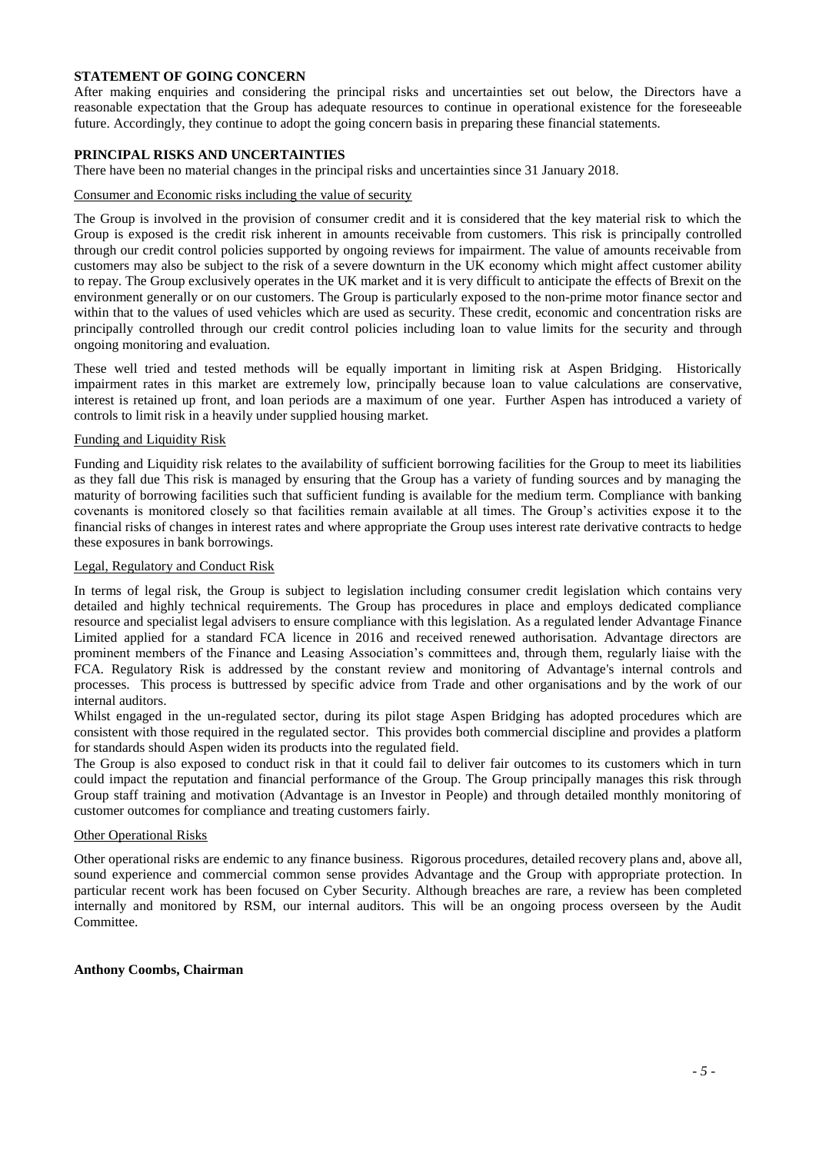## **STATEMENT OF GOING CONCERN**

After making enquiries and considering the principal risks and uncertainties set out below, the Directors have a reasonable expectation that the Group has adequate resources to continue in operational existence for the foreseeable future. Accordingly, they continue to adopt the going concern basis in preparing these financial statements.

## **PRINCIPAL RISKS AND UNCERTAINTIES**

There have been no material changes in the principal risks and uncertainties since 31 January 2018.

## Consumer and Economic risks including the value of security

The Group is involved in the provision of consumer credit and it is considered that the key material risk to which the Group is exposed is the credit risk inherent in amounts receivable from customers. This risk is principally controlled through our credit control policies supported by ongoing reviews for impairment. The value of amounts receivable from customers may also be subject to the risk of a severe downturn in the UK economy which might affect customer ability to repay. The Group exclusively operates in the UK market and it is very difficult to anticipate the effects of Brexit on the environment generally or on our customers. The Group is particularly exposed to the non-prime motor finance sector and within that to the values of used vehicles which are used as security. These credit, economic and concentration risks are principally controlled through our credit control policies including loan to value limits for the security and through ongoing monitoring and evaluation.

These well tried and tested methods will be equally important in limiting risk at Aspen Bridging. Historically impairment rates in this market are extremely low, principally because loan to value calculations are conservative, interest is retained up front, and loan periods are a maximum of one year. Further Aspen has introduced a variety of controls to limit risk in a heavily under supplied housing market.

### Funding and Liquidity Risk

Funding and Liquidity risk relates to the availability of sufficient borrowing facilities for the Group to meet its liabilities as they fall due This risk is managed by ensuring that the Group has a variety of funding sources and by managing the maturity of borrowing facilities such that sufficient funding is available for the medium term. Compliance with banking covenants is monitored closely so that facilities remain available at all times. The Group's activities expose it to the financial risks of changes in interest rates and where appropriate the Group uses interest rate derivative contracts to hedge these exposures in bank borrowings.

### Legal, Regulatory and Conduct Risk

In terms of legal risk, the Group is subject to legislation including consumer credit legislation which contains very detailed and highly technical requirements. The Group has procedures in place and employs dedicated compliance resource and specialist legal advisers to ensure compliance with this legislation. As a regulated lender Advantage Finance Limited applied for a standard FCA licence in 2016 and received renewed authorisation. Advantage directors are prominent members of the Finance and Leasing Association's committees and, through them, regularly liaise with the FCA. Regulatory Risk is addressed by the constant review and monitoring of Advantage's internal controls and processes. This process is buttressed by specific advice from Trade and other organisations and by the work of our internal auditors.

Whilst engaged in the un-regulated sector, during its pilot stage Aspen Bridging has adopted procedures which are consistent with those required in the regulated sector. This provides both commercial discipline and provides a platform for standards should Aspen widen its products into the regulated field.

The Group is also exposed to conduct risk in that it could fail to deliver fair outcomes to its customers which in turn could impact the reputation and financial performance of the Group. The Group principally manages this risk through Group staff training and motivation (Advantage is an Investor in People) and through detailed monthly monitoring of customer outcomes for compliance and treating customers fairly.

#### Other Operational Risks

Other operational risks are endemic to any finance business. Rigorous procedures, detailed recovery plans and, above all, sound experience and commercial common sense provides Advantage and the Group with appropriate protection. In particular recent work has been focused on Cyber Security. Although breaches are rare, a review has been completed internally and monitored by RSM, our internal auditors. This will be an ongoing process overseen by the Audit Committee.

#### **Anthony Coombs, Chairman**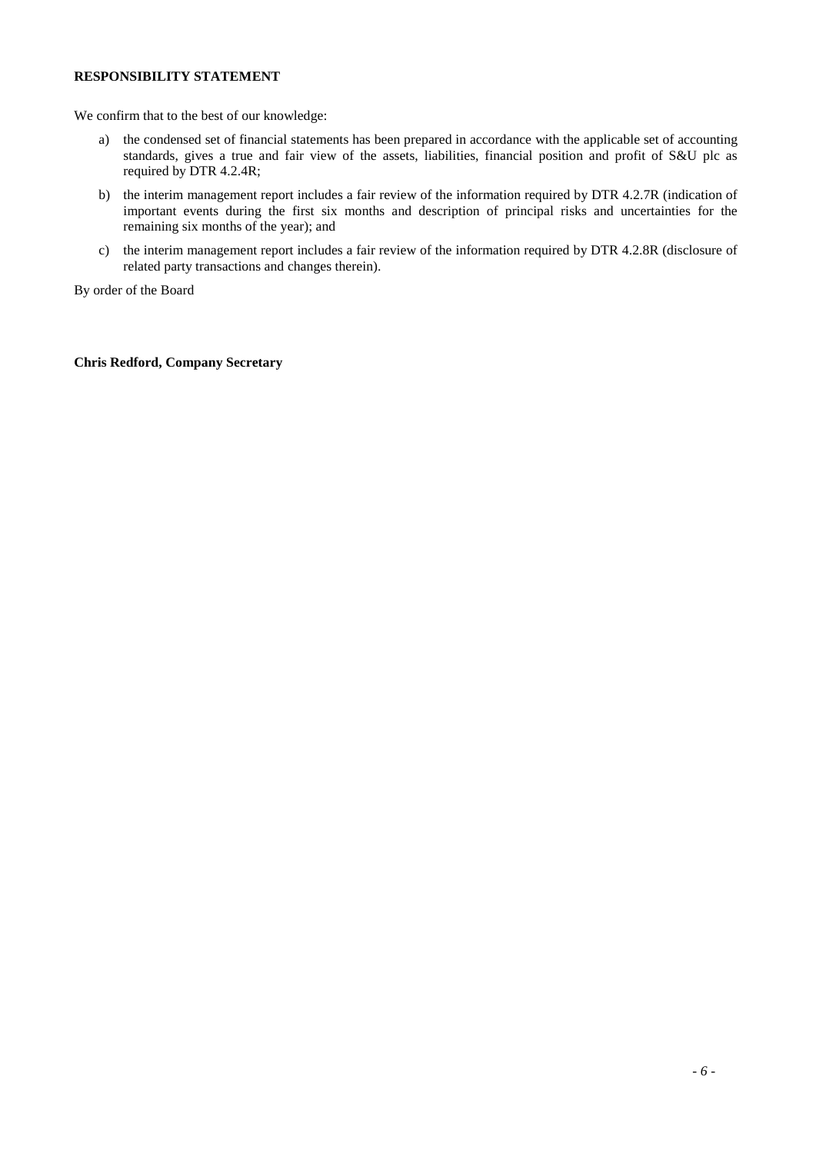#### **RESPONSIBILITY STATEMENT**

We confirm that to the best of our knowledge:

- a) the condensed set of financial statements has been prepared in accordance with the applicable set of accounting standards, gives a true and fair view of the assets, liabilities, financial position and profit of S&U plc as required by DTR 4.2.4R;
- b) the interim management report includes a fair review of the information required by DTR 4.2.7R (indication of important events during the first six months and description of principal risks and uncertainties for the remaining six months of the year); and
- c) the interim management report includes a fair review of the information required by DTR 4.2.8R (disclosure of related party transactions and changes therein).

By order of the Board

**Chris Redford, Company Secretary**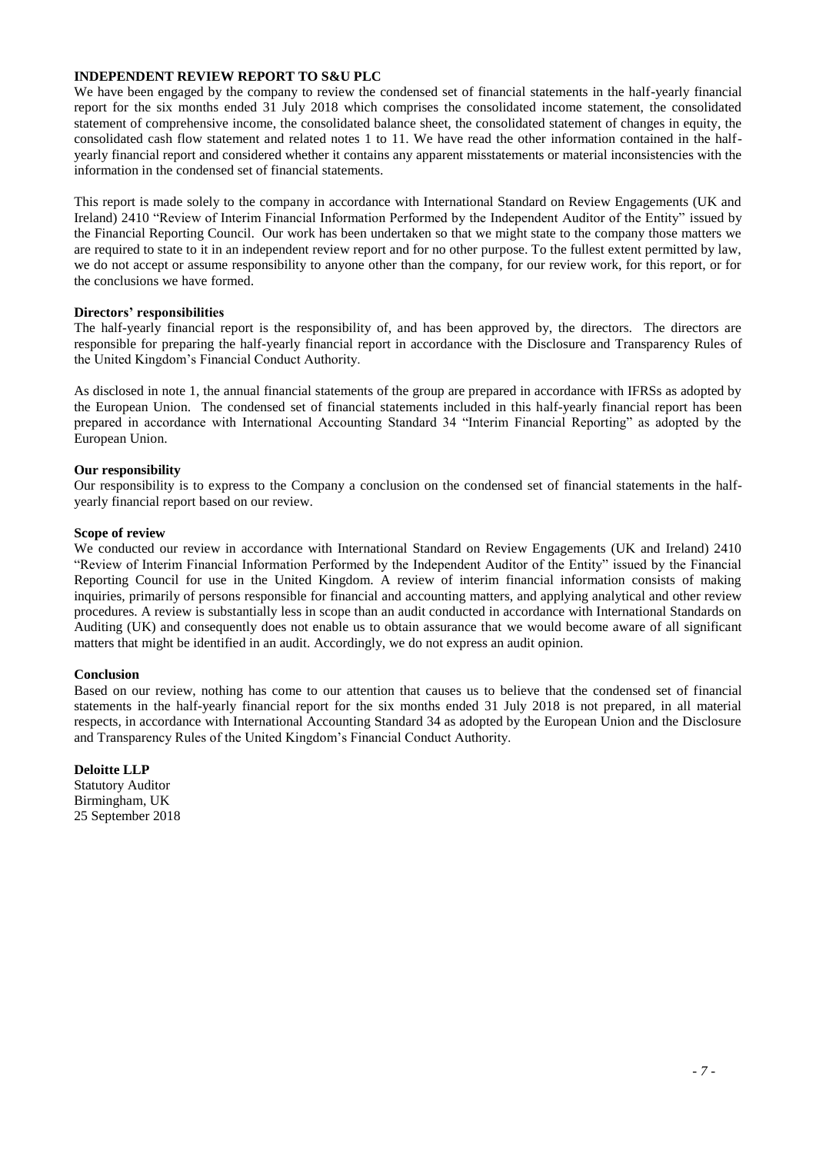## **INDEPENDENT REVIEW REPORT TO S&U PLC**

We have been engaged by the company to review the condensed set of financial statements in the half-yearly financial report for the six months ended 31 July 2018 which comprises the consolidated income statement, the consolidated statement of comprehensive income, the consolidated balance sheet, the consolidated statement of changes in equity, the consolidated cash flow statement and related notes 1 to 11. We have read the other information contained in the halfyearly financial report and considered whether it contains any apparent misstatements or material inconsistencies with the information in the condensed set of financial statements.

This report is made solely to the company in accordance with International Standard on Review Engagements (UK and Ireland) 2410 "Review of Interim Financial Information Performed by the Independent Auditor of the Entity" issued by the Financial Reporting Council. Our work has been undertaken so that we might state to the company those matters we are required to state to it in an independent review report and for no other purpose. To the fullest extent permitted by law, we do not accept or assume responsibility to anyone other than the company, for our review work, for this report, or for the conclusions we have formed.

## **Directors' responsibilities**

The half-yearly financial report is the responsibility of, and has been approved by, the directors. The directors are responsible for preparing the half-yearly financial report in accordance with the Disclosure and Transparency Rules of the United Kingdom's Financial Conduct Authority.

As disclosed in note 1, the annual financial statements of the group are prepared in accordance with IFRSs as adopted by the European Union. The condensed set of financial statements included in this half-yearly financial report has been prepared in accordance with International Accounting Standard 34 "Interim Financial Reporting" as adopted by the European Union.

## **Our responsibility**

Our responsibility is to express to the Company a conclusion on the condensed set of financial statements in the halfyearly financial report based on our review.

### **Scope of review**

We conducted our review in accordance with International Standard on Review Engagements (UK and Ireland) 2410 "Review of Interim Financial Information Performed by the Independent Auditor of the Entity" issued by the Financial Reporting Council for use in the United Kingdom. A review of interim financial information consists of making inquiries, primarily of persons responsible for financial and accounting matters, and applying analytical and other review procedures. A review is substantially less in scope than an audit conducted in accordance with International Standards on Auditing (UK) and consequently does not enable us to obtain assurance that we would become aware of all significant matters that might be identified in an audit. Accordingly, we do not express an audit opinion.

## **Conclusion**

Based on our review, nothing has come to our attention that causes us to believe that the condensed set of financial statements in the half-yearly financial report for the six months ended 31 July 2018 is not prepared, in all material respects, in accordance with International Accounting Standard 34 as adopted by the European Union and the Disclosure and Transparency Rules of the United Kingdom's Financial Conduct Authority.

## **Deloitte LLP**

Statutory Auditor Birmingham, UK 25 September 2018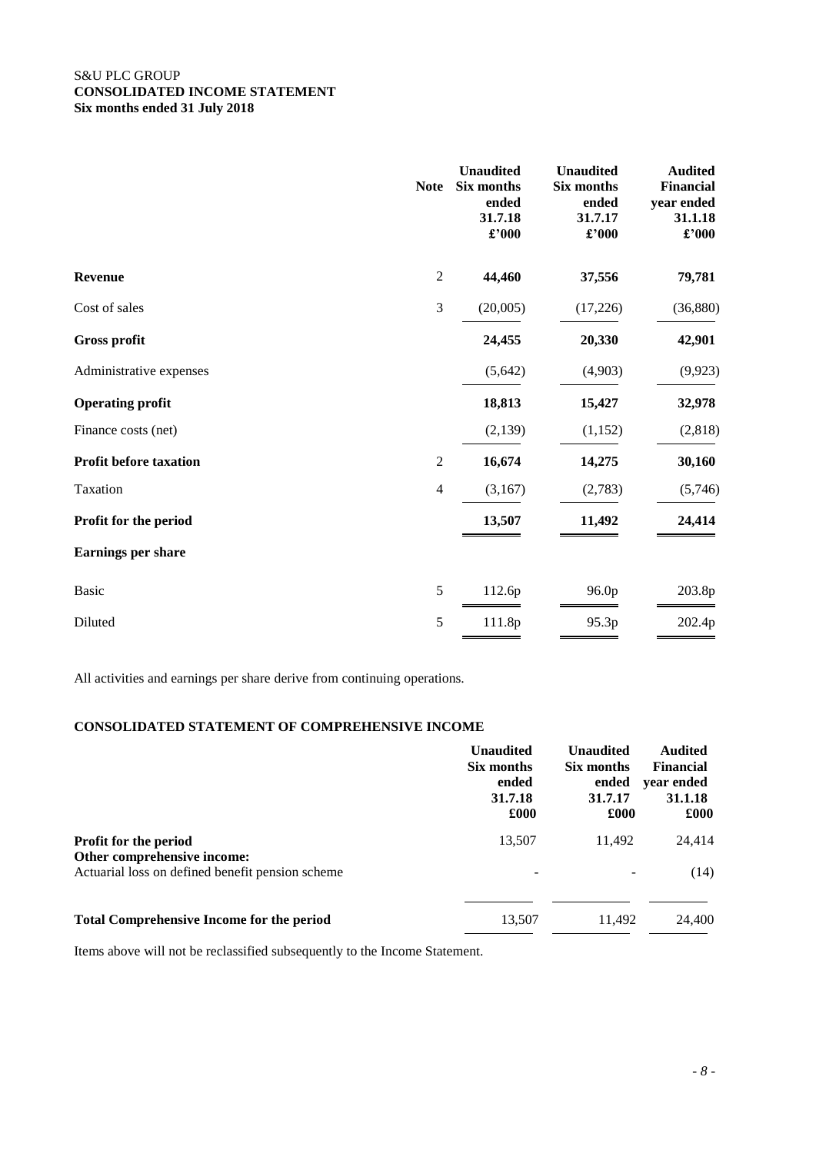## S&U PLC GROUP **CONSOLIDATED INCOME STATEMENT Six months ended 31 July 2018**

|                               | <b>Note</b>    | <b>Unaudited</b><br>Six months<br>ended<br>31.7.18<br>£'000 | <b>Unaudited</b><br>Six months<br>ended<br>31.7.17<br>£'000 | <b>Audited</b><br>Financial<br>year ended<br>31.1.18<br>£'000 |
|-------------------------------|----------------|-------------------------------------------------------------|-------------------------------------------------------------|---------------------------------------------------------------|
| <b>Revenue</b>                | $\sqrt{2}$     | 44,460                                                      | 37,556                                                      | 79,781                                                        |
| Cost of sales                 | 3              | (20,005)                                                    | (17,226)                                                    | (36, 880)                                                     |
| <b>Gross profit</b>           |                | 24,455                                                      | 20,330                                                      | 42,901                                                        |
| Administrative expenses       |                | (5, 642)                                                    | (4,903)                                                     | (9, 923)                                                      |
| <b>Operating profit</b>       |                | 18,813                                                      | 15,427                                                      | 32,978                                                        |
| Finance costs (net)           |                | (2,139)                                                     | (1,152)                                                     | (2,818)                                                       |
| <b>Profit before taxation</b> | $\overline{2}$ | 16,674                                                      | 14,275                                                      | 30,160                                                        |
| Taxation                      | $\overline{4}$ | (3,167)                                                     | (2,783)                                                     | (5,746)                                                       |
| Profit for the period         |                | 13,507                                                      | 11,492                                                      | 24,414                                                        |
| Earnings per share            |                |                                                             |                                                             |                                                               |
| <b>Basic</b>                  | 5              | 112.6p                                                      | 96.0p                                                       | 203.8p                                                        |
| Diluted                       | 5              | 111.8p                                                      | 95.3p                                                       | 202.4p                                                        |

All activities and earnings per share derive from continuing operations.

## **CONSOLIDATED STATEMENT OF COMPREHENSIVE INCOME**

|                                                             | <b>Unaudited</b><br>Six months<br>ended<br>31.7.18<br>£000 | <b>Unaudited</b><br>Six months<br>ended<br>31.7.17<br>£000 | <b>Audited</b><br><b>Financial</b><br>vear ended<br>31.1.18<br>£000 |
|-------------------------------------------------------------|------------------------------------------------------------|------------------------------------------------------------|---------------------------------------------------------------------|
| <b>Profit for the period</b><br>Other comprehensive income: | 13,507                                                     | 11.492                                                     | 24,414                                                              |
| Actuarial loss on defined benefit pension scheme            |                                                            |                                                            | (14)                                                                |
| <b>Total Comprehensive Income for the period</b>            | 13.507                                                     | 11,492                                                     | 24,400                                                              |

Items above will not be reclassified subsequently to the Income Statement.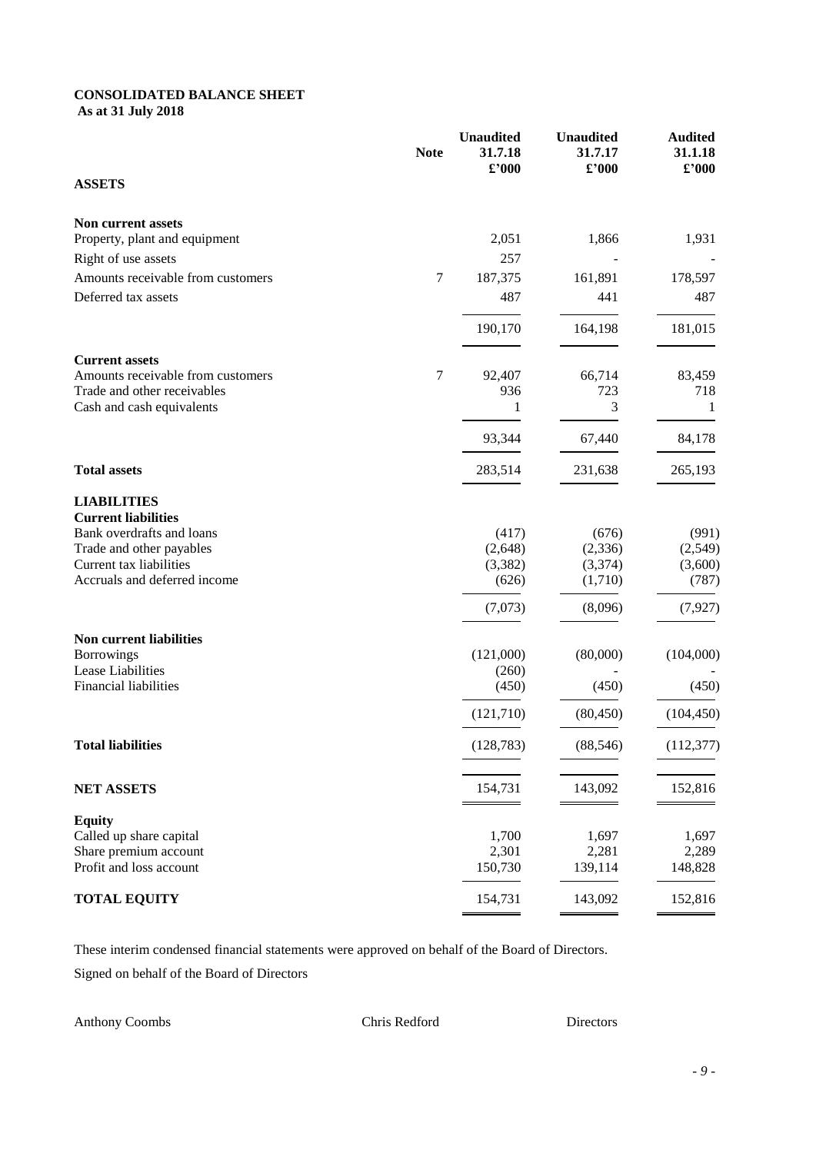## **CONSOLIDATED BALANCE SHEET As at 31 July 2018**

|                                                          | <b>Note</b>      | <b>Unaudited</b><br>31.7.18<br>£'000 | <b>Unaudited</b><br>31.7.17<br>£'000 | <b>Audited</b><br>31.1.18<br>$\pmb{\pounds}$ '000 |
|----------------------------------------------------------|------------------|--------------------------------------|--------------------------------------|---------------------------------------------------|
| <b>ASSETS</b>                                            |                  |                                      |                                      |                                                   |
| Non current assets                                       |                  |                                      |                                      |                                                   |
| Property, plant and equipment                            |                  | 2,051                                | 1,866                                | 1,931                                             |
| Right of use assets                                      |                  | 257                                  |                                      |                                                   |
| Amounts receivable from customers                        | $\boldsymbol{7}$ | 187,375                              | 161,891                              | 178,597                                           |
| Deferred tax assets                                      |                  | 487                                  | 441                                  | 487                                               |
|                                                          |                  | 190,170                              | 164,198                              | 181,015                                           |
| <b>Current assets</b>                                    |                  |                                      |                                      |                                                   |
| Amounts receivable from customers                        | 7                | 92,407                               | 66,714                               | 83,459                                            |
| Trade and other receivables<br>Cash and cash equivalents |                  | 936<br>1                             | 723<br>3                             | 718<br>1                                          |
|                                                          |                  | 93,344                               | 67,440                               | 84,178                                            |
| <b>Total assets</b>                                      |                  | 283,514                              | 231,638                              | 265,193                                           |
| <b>LIABILITIES</b>                                       |                  |                                      |                                      |                                                   |
| <b>Current liabilities</b><br>Bank overdrafts and loans  |                  | (417)                                | (676)                                | (991)                                             |
| Trade and other payables                                 |                  | (2,648)                              | (2, 336)                             | (2, 549)                                          |
| Current tax liabilities                                  |                  | (3,382)                              | (3,374)                              | (3,600)                                           |
| Accruals and deferred income                             |                  | (626)                                | (1,710)                              | (787)                                             |
|                                                          |                  | (7,073)                              | (8,096)                              | (7, 927)                                          |
| <b>Non current liabilities</b>                           |                  |                                      |                                      |                                                   |
| <b>Borrowings</b>                                        |                  | (121,000)                            | (80,000)                             | (104,000)                                         |
| Lease Liabilities<br><b>Financial liabilities</b>        |                  | (260)<br>(450)                       | (450)                                | (450)                                             |
|                                                          |                  |                                      |                                      |                                                   |
|                                                          |                  | (121,710)                            | (80, 450)                            | (104, 450)                                        |
| <b>Total liabilities</b>                                 |                  | (128, 783)                           | (88, 546)                            | (112, 377)                                        |
| <b>NET ASSETS</b>                                        |                  | 154,731                              | 143,092                              | 152,816                                           |
| <b>Equity</b>                                            |                  |                                      |                                      |                                                   |
| Called up share capital<br>Share premium account         |                  | 1,700<br>2,301                       | 1,697<br>2,281                       | 1,697<br>2,289                                    |
| Profit and loss account                                  |                  | 150,730                              | 139,114                              | 148,828                                           |
| <b>TOTAL EQUITY</b>                                      |                  | 154,731                              | 143,092                              | 152,816                                           |

These interim condensed financial statements were approved on behalf of the Board of Directors.

Signed on behalf of the Board of Directors

Anthony Coombs Chris Redford Directors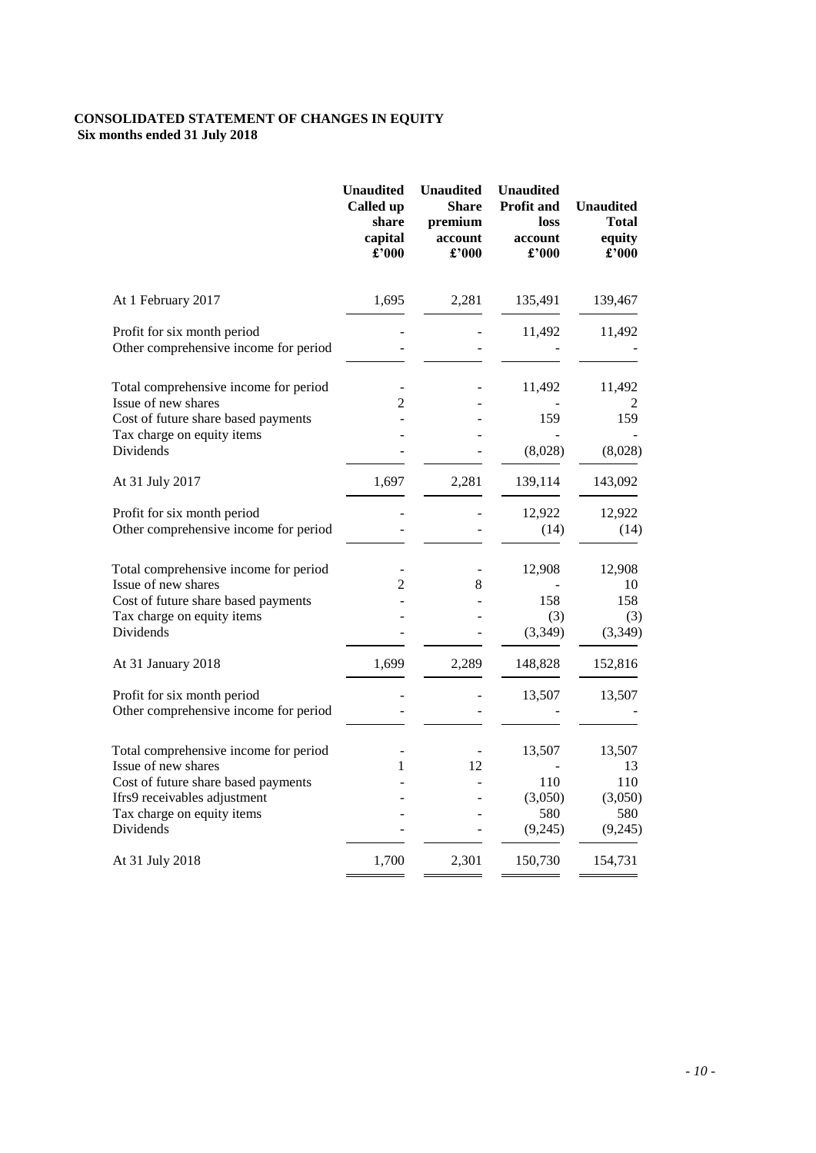## **CONSOLIDATED STATEMENT OF CHANGES IN EQUITY Six months ended 31 July 2018**

|                                                                                                                                                                                | <b>Unaudited</b><br>Called up<br>share<br>capital<br>£'000 | <b>Unaudited</b><br><b>Share</b><br>premium<br>account<br>£'000 | <b>Unaudited</b><br>Profit and<br>loss<br>account<br>£'000 | <b>Unaudited</b><br><b>Total</b><br>equity<br>£'000 |
|--------------------------------------------------------------------------------------------------------------------------------------------------------------------------------|------------------------------------------------------------|-----------------------------------------------------------------|------------------------------------------------------------|-----------------------------------------------------|
| At 1 February 2017                                                                                                                                                             | 1,695                                                      | 2,281                                                           | 135,491                                                    | 139,467                                             |
| Profit for six month period<br>Other comprehensive income for period                                                                                                           |                                                            |                                                                 | 11,492                                                     | 11,492                                              |
| Total comprehensive income for period<br>Issue of new shares<br>Cost of future share based payments                                                                            | 2                                                          |                                                                 | 11,492<br>159                                              | 11,492<br>2<br>159                                  |
| Tax charge on equity items<br><b>Dividends</b>                                                                                                                                 |                                                            |                                                                 | (8,028)                                                    | (8,028)                                             |
| At 31 July 2017                                                                                                                                                                | 1,697                                                      | 2,281                                                           | 139,114                                                    | 143,092                                             |
| Profit for six month period<br>Other comprehensive income for period                                                                                                           |                                                            |                                                                 | 12,922<br>(14)                                             | 12,922<br>(14)                                      |
| Total comprehensive income for period<br>Issue of new shares<br>Cost of future share based payments<br>Tax charge on equity items<br><b>Dividends</b>                          | 2                                                          | 8                                                               | 12,908<br>158<br>(3)<br>(3,349)                            | 12,908<br>10<br>158<br>(3)<br>(3,349)               |
| At 31 January 2018                                                                                                                                                             | 1,699                                                      | 2,289                                                           | 148,828                                                    | 152,816                                             |
| Profit for six month period<br>Other comprehensive income for period                                                                                                           |                                                            |                                                                 | 13,507                                                     | 13,507                                              |
| Total comprehensive income for period<br>Issue of new shares<br>Cost of future share based payments<br>Ifrs9 receivables adjustment<br>Tax charge on equity items<br>Dividends | 1                                                          | 12                                                              | 13,507<br>110<br>(3,050)<br>580<br>(9,245)                 | 13,507<br>13<br>110<br>(3,050)<br>580<br>(9,245)    |
| At 31 July 2018                                                                                                                                                                | 1,700                                                      | 2,301                                                           | 150,730                                                    | 154,731                                             |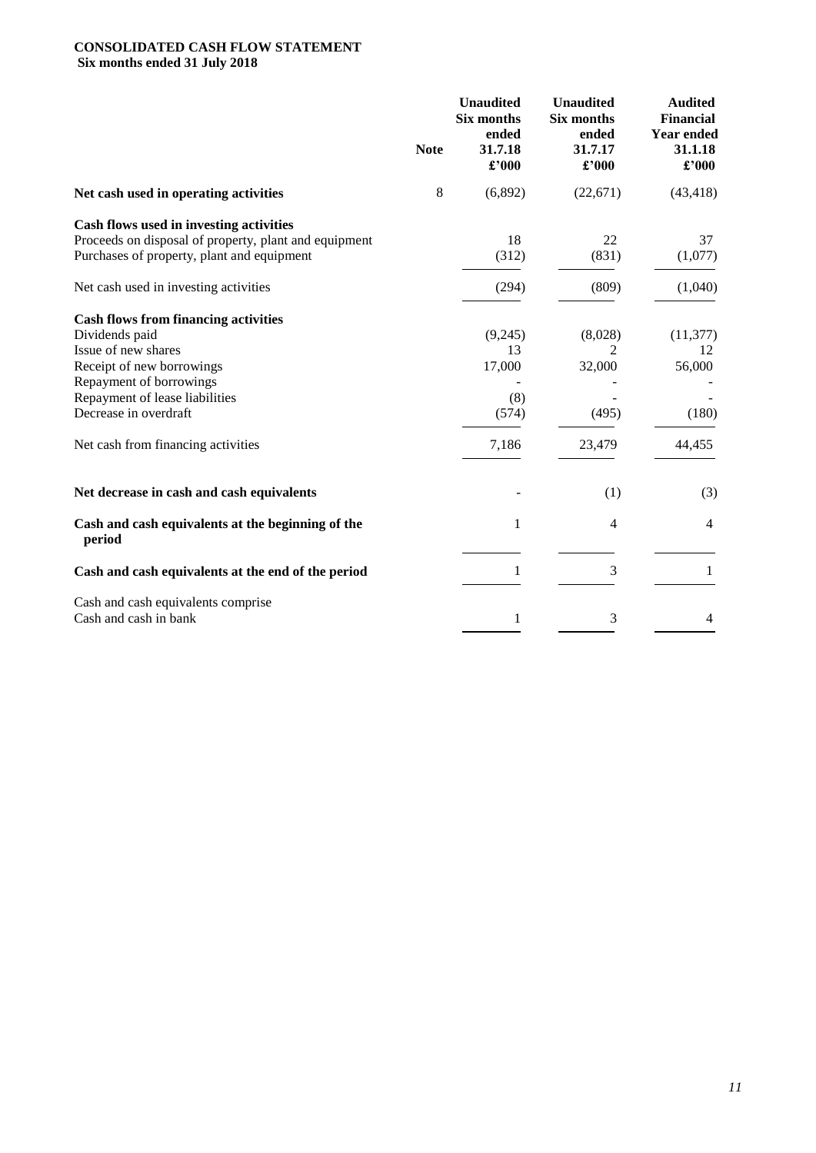## **CONSOLIDATED CASH FLOW STATEMENT Six months ended 31 July 2018**

**Note Unaudited Six months ended 31.7.18 £'000 Unaudited Six months ended 31.7.17 £'000 Audited Financial Year ended 31.1.18 £'000 Net cash used in operating activities** 8 (6,892) (22,671) (43,418) **Cash flows used in investing activities** Proceeds on disposal of property, plant and equipment 18 22 37<br>Purchases of property, plant and equipment (312) (831) (1,077) Purchases of property, plant and equipment Net cash used in investing activities (294) (809) (1,040) **Cash flows from financing activities** Dividends paid (9,245) (8,028) (11,377) Issue of new shares 13 2 12 Receipt of new borrowings 17,000 32,000 56,000 Repayment of borrowings (8)<br>Repayment of lease liabilities (8) Repayment of lease liabilities (8) - - Decrease in overdraft  $(574)$   $(495)$   $(180)$ Net cash from financing activities 1992 11:38 23,479 44,455 **Net decrease in cash and cash equivalents** (1) (3) **Cash and cash equivalents at the beginning of the period** 1 4 4 **Cash and cash equivalents at the end of the period 1** 3 1 Cash and cash equivalents comprise Cash and cash in bank  $1$  3 4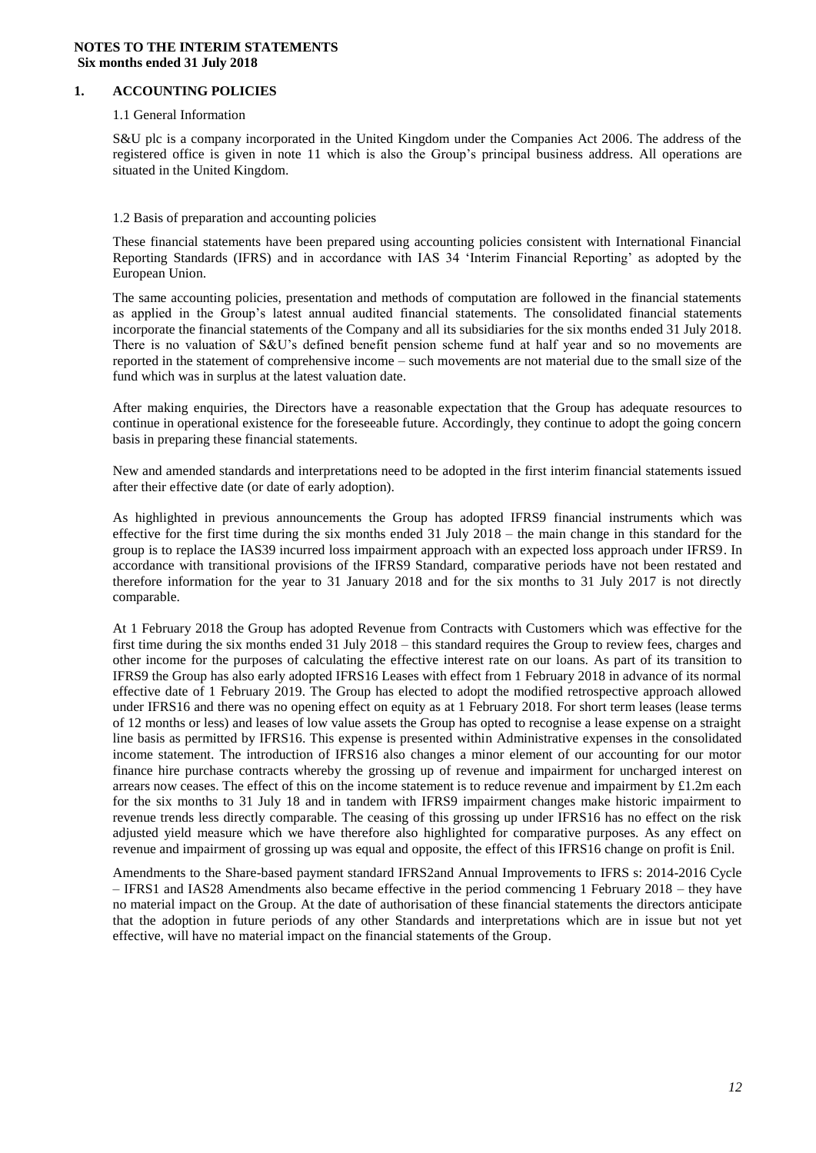## **1. ACCOUNTING POLICIES**

### 1.1 General Information

S&U plc is a company incorporated in the United Kingdom under the Companies Act 2006. The address of the registered office is given in note 11 which is also the Group's principal business address. All operations are situated in the United Kingdom.

### 1.2 Basis of preparation and accounting policies

These financial statements have been prepared using accounting policies consistent with International Financial Reporting Standards (IFRS) and in accordance with IAS 34 'Interim Financial Reporting' as adopted by the European Union.

The same accounting policies, presentation and methods of computation are followed in the financial statements as applied in the Group's latest annual audited financial statements. The consolidated financial statements incorporate the financial statements of the Company and all its subsidiaries for the six months ended 31 July 2018. There is no valuation of S&U's defined benefit pension scheme fund at half year and so no movements are reported in the statement of comprehensive income – such movements are not material due to the small size of the fund which was in surplus at the latest valuation date.

After making enquiries, the Directors have a reasonable expectation that the Group has adequate resources to continue in operational existence for the foreseeable future. Accordingly, they continue to adopt the going concern basis in preparing these financial statements.

New and amended standards and interpretations need to be adopted in the first interim financial statements issued after their effective date (or date of early adoption).

As highlighted in previous announcements the Group has adopted IFRS9 financial instruments which was effective for the first time during the six months ended 31 July 2018 – the main change in this standard for the group is to replace the IAS39 incurred loss impairment approach with an expected loss approach under IFRS9. In accordance with transitional provisions of the IFRS9 Standard, comparative periods have not been restated and therefore information for the year to 31 January 2018 and for the six months to 31 July 2017 is not directly comparable.

At 1 February 2018 the Group has adopted Revenue from Contracts with Customers which was effective for the first time during the six months ended 31 July 2018 – this standard requires the Group to review fees, charges and other income for the purposes of calculating the effective interest rate on our loans. As part of its transition to IFRS9 the Group has also early adopted IFRS16 Leases with effect from 1 February 2018 in advance of its normal effective date of 1 February 2019. The Group has elected to adopt the modified retrospective approach allowed under IFRS16 and there was no opening effect on equity as at 1 February 2018. For short term leases (lease terms of 12 months or less) and leases of low value assets the Group has opted to recognise a lease expense on a straight line basis as permitted by IFRS16. This expense is presented within Administrative expenses in the consolidated income statement. The introduction of IFRS16 also changes a minor element of our accounting for our motor finance hire purchase contracts whereby the grossing up of revenue and impairment for uncharged interest on arrears now ceases. The effect of this on the income statement is to reduce revenue and impairment by £1.2m each for the six months to 31 July 18 and in tandem with IFRS9 impairment changes make historic impairment to revenue trends less directly comparable. The ceasing of this grossing up under IFRS16 has no effect on the risk adjusted yield measure which we have therefore also highlighted for comparative purposes. As any effect on revenue and impairment of grossing up was equal and opposite, the effect of this IFRS16 change on profit is £nil.

Amendments to the Share-based payment standard IFRS2and Annual Improvements to IFRS s: 2014-2016 Cycle – IFRS1 and IAS28 Amendments also became effective in the period commencing 1 February 2018 – they have no material impact on the Group. At the date of authorisation of these financial statements the directors anticipate that the adoption in future periods of any other Standards and interpretations which are in issue but not yet effective, will have no material impact on the financial statements of the Group.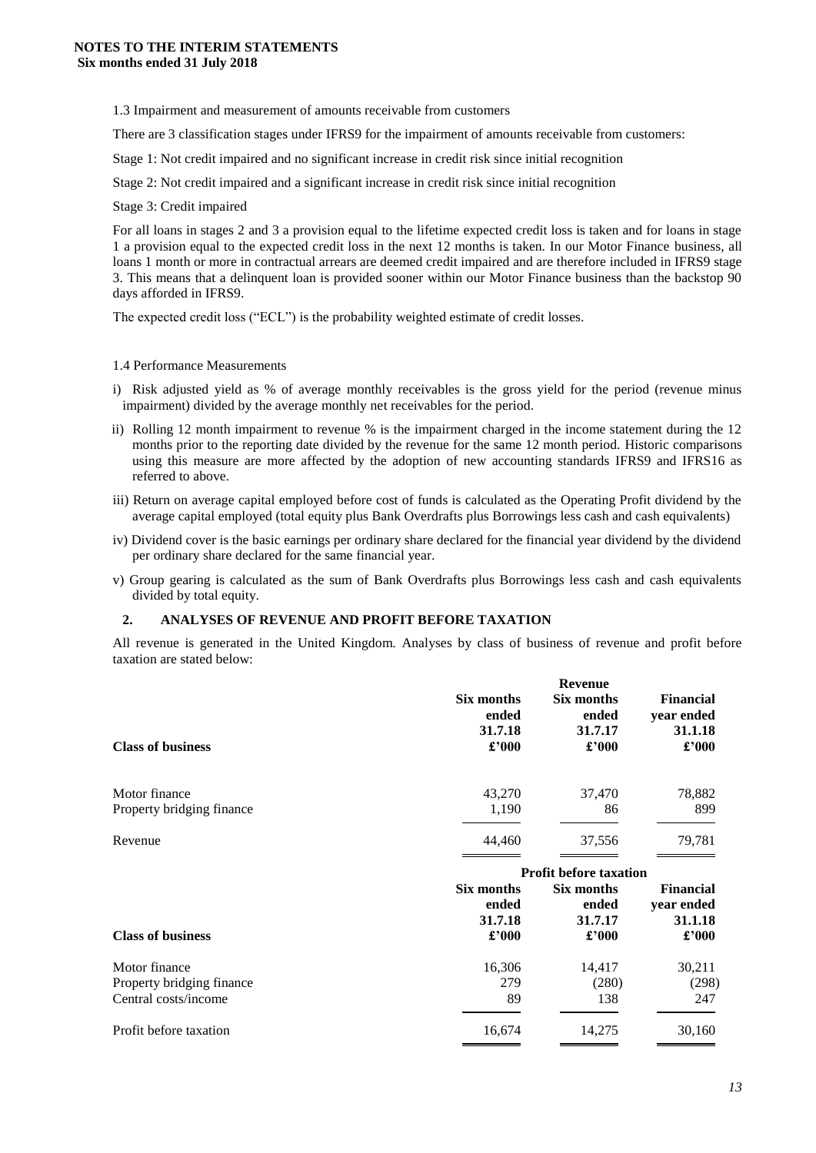1.3 Impairment and measurement of amounts receivable from customers

There are 3 classification stages under IFRS9 for the impairment of amounts receivable from customers:

Stage 1: Not credit impaired and no significant increase in credit risk since initial recognition

Stage 2: Not credit impaired and a significant increase in credit risk since initial recognition

Stage 3: Credit impaired

For all loans in stages 2 and 3 a provision equal to the lifetime expected credit loss is taken and for loans in stage 1 a provision equal to the expected credit loss in the next 12 months is taken. In our Motor Finance business, all loans 1 month or more in contractual arrears are deemed credit impaired and are therefore included in IFRS9 stage 3. This means that a delinquent loan is provided sooner within our Motor Finance business than the backstop 90 days afforded in IFRS9.

The expected credit loss ("ECL") is the probability weighted estimate of credit losses.

#### 1.4 Performance Measurements

- i) Risk adjusted yield as % of average monthly receivables is the gross yield for the period (revenue minus impairment) divided by the average monthly net receivables for the period.
- ii) Rolling 12 month impairment to revenue % is the impairment charged in the income statement during the 12 months prior to the reporting date divided by the revenue for the same 12 month period. Historic comparisons using this measure are more affected by the adoption of new accounting standards IFRS9 and IFRS16 as referred to above.
- iii) Return on average capital employed before cost of funds is calculated as the Operating Profit dividend by the average capital employed (total equity plus Bank Overdrafts plus Borrowings less cash and cash equivalents)
- iv) Dividend cover is the basic earnings per ordinary share declared for the financial year dividend by the dividend per ordinary share declared for the same financial year.
- v) Group gearing is calculated as the sum of Bank Overdrafts plus Borrowings less cash and cash equivalents divided by total equity.

## **2. ANALYSES OF REVENUE AND PROFIT BEFORE TAXATION**

All revenue is generated in the United Kingdom. Analyses by class of business of revenue and profit before taxation are stated below:

|                           | Six months                    | <b>Revenue</b><br>Six months | <b>Financial</b>          |
|---------------------------|-------------------------------|------------------------------|---------------------------|
| <b>Class of business</b>  | ended                         | ended                        | year ended                |
|                           | 31.7.18<br>£'000              | 31.7.17<br>$\pounds$ '000    | 31.1.18<br>$\pounds$ '000 |
| Motor finance             | 43,270                        | 37,470                       | 78,882                    |
| Property bridging finance | 1,190                         | 86                           | 899                       |
| Revenue                   | 44,460                        | 37,556                       | 79,781                    |
|                           | <b>Profit before taxation</b> |                              |                           |
|                           | Six months                    | Six months                   | <b>Financial</b>          |
|                           | ended                         | ended                        | year ended                |
| <b>Class of business</b>  | 31.7.18<br>£'000              | 31.7.17<br>$\pounds$ '000    | 31.1.18<br>$\pounds$ '000 |
| Motor finance             | 16,306                        | 14,417                       | 30,211                    |
| Property bridging finance | 279                           | (280)                        | (298)                     |
| Central costs/income      | 89                            | 138                          | 247                       |
| Profit before taxation    | 16,674                        | 14,275                       | 30,160                    |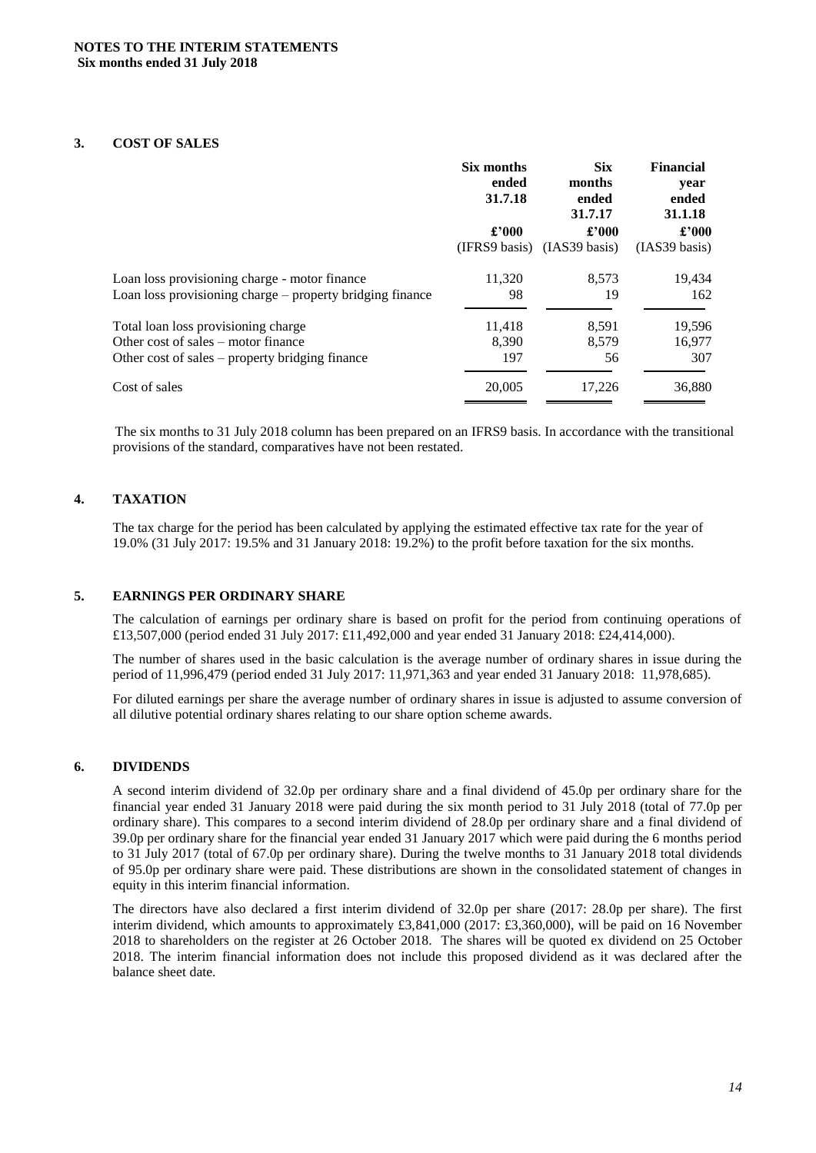## **3. COST OF SALES**

|                                                           | Six months<br>ended<br>31.7.18 | <b>Six</b><br>months<br>ended<br>31.7.17 | <b>Financial</b><br>year<br>ended<br>31.1.18 |
|-----------------------------------------------------------|--------------------------------|------------------------------------------|----------------------------------------------|
|                                                           | £2000                          | £2000                                    | £2000                                        |
|                                                           | (IFRS9 basis)                  | (IAS39 basis)                            | (IAS39 basis)                                |
| Loan loss provisioning charge - motor finance             | 11,320                         | 8.573                                    | 19,434                                       |
| Loan loss provisioning charge – property bridging finance | 98                             | 19                                       | 162                                          |
| Total loan loss provisioning charge                       | 11,418                         | 8,591                                    | 19,596                                       |
| Other cost of sales – motor finance                       | 8,390                          | 8.579                                    | 16,977                                       |
| Other cost of sales – property bridging finance           | 197                            | 56                                       | 307                                          |
| Cost of sales                                             | 20,005                         | 17,226                                   | 36,880                                       |

 The six months to 31 July 2018 column has been prepared on an IFRS9 basis. In accordance with the transitional provisions of the standard, comparatives have not been restated.

## **4. TAXATION**

The tax charge for the period has been calculated by applying the estimated effective tax rate for the year of 19.0% (31 July 2017: 19.5% and 31 January 2018: 19.2%) to the profit before taxation for the six months.

## **5. EARNINGS PER ORDINARY SHARE**

The calculation of earnings per ordinary share is based on profit for the period from continuing operations of £13,507,000 (period ended 31 July 2017: £11,492,000 and year ended 31 January 2018: £24,414,000).

The number of shares used in the basic calculation is the average number of ordinary shares in issue during the period of 11,996,479 (period ended 31 July 2017: 11,971,363 and year ended 31 January 2018: 11,978,685).

For diluted earnings per share the average number of ordinary shares in issue is adjusted to assume conversion of all dilutive potential ordinary shares relating to our share option scheme awards.

## **6. DIVIDENDS**

A second interim dividend of 32.0p per ordinary share and a final dividend of 45.0p per ordinary share for the financial year ended 31 January 2018 were paid during the six month period to 31 July 2018 (total of 77.0p per ordinary share). This compares to a second interim dividend of 28.0p per ordinary share and a final dividend of 39.0p per ordinary share for the financial year ended 31 January 2017 which were paid during the 6 months period to 31 July 2017 (total of 67.0p per ordinary share). During the twelve months to 31 January 2018 total dividends of 95.0p per ordinary share were paid. These distributions are shown in the consolidated statement of changes in equity in this interim financial information.

The directors have also declared a first interim dividend of 32.0p per share (2017: 28.0p per share). The first interim dividend, which amounts to approximately £3,841,000 (2017: £3,360,000), will be paid on 16 November 2018 to shareholders on the register at 26 October 2018. The shares will be quoted ex dividend on 25 October 2018. The interim financial information does not include this proposed dividend as it was declared after the balance sheet date.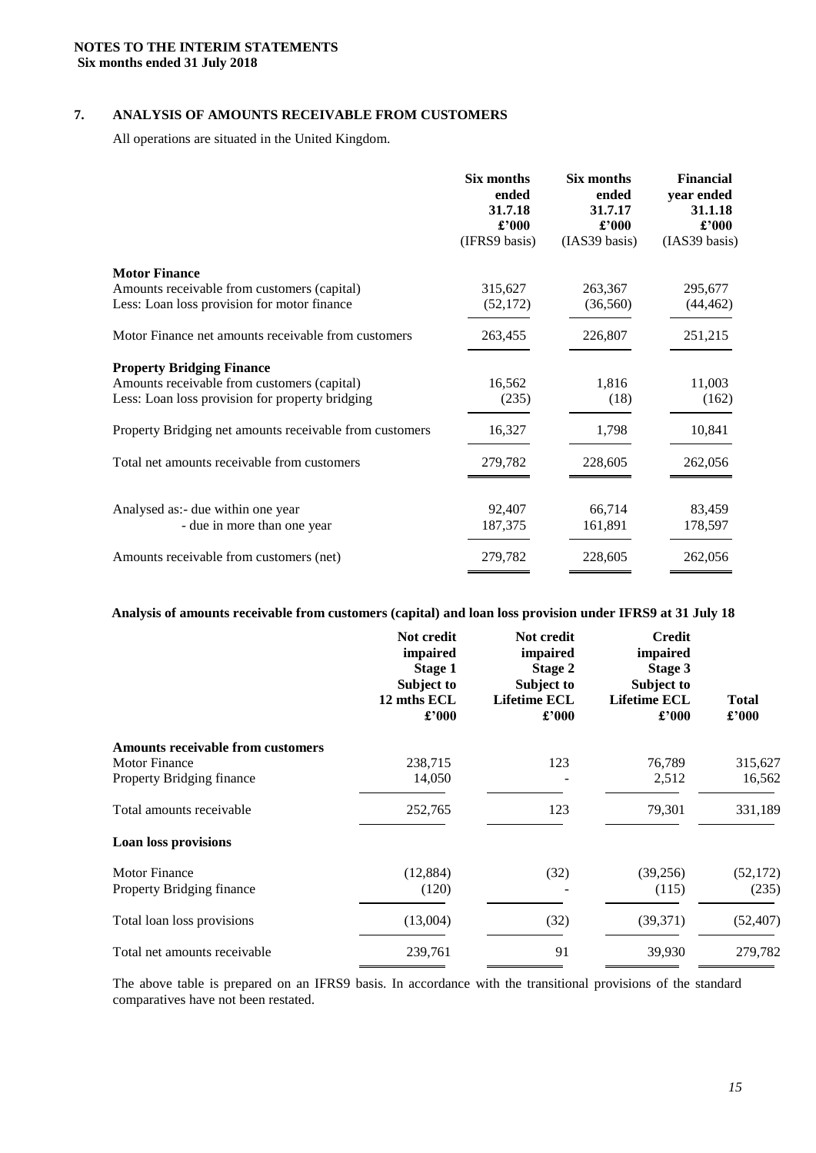# **7. ANALYSIS OF AMOUNTS RECEIVABLE FROM CUSTOMERS**

All operations are situated in the United Kingdom.

|                                                         | Six months<br>ended<br>31.7.18<br>£'000<br>(IFRS9 basis) | Six months<br>ended<br>31.7.17<br>£'000<br>(IAS39 basis) | <b>Financial</b><br>year ended<br>31.1.18<br>£'000<br>(IAS39 basis) |
|---------------------------------------------------------|----------------------------------------------------------|----------------------------------------------------------|---------------------------------------------------------------------|
| <b>Motor Finance</b>                                    |                                                          |                                                          |                                                                     |
| Amounts receivable from customers (capital)             | 315,627                                                  | 263,367                                                  | 295,677                                                             |
| Less: Loan loss provision for motor finance             | (52, 172)                                                | (36, 560)                                                | (44, 462)                                                           |
| Motor Finance net amounts receivable from customers     | 263,455                                                  | 226,807                                                  | 251,215                                                             |
| <b>Property Bridging Finance</b>                        |                                                          |                                                          |                                                                     |
| Amounts receivable from customers (capital)             | 16,562                                                   | 1,816                                                    | 11,003                                                              |
| Less: Loan loss provision for property bridging         | (235)                                                    | (18)                                                     | (162)                                                               |
| Property Bridging net amounts receivable from customers | 16,327                                                   | 1,798                                                    | 10,841                                                              |
| Total net amounts receivable from customers             | 279,782                                                  | 228,605                                                  | 262,056                                                             |
|                                                         |                                                          |                                                          |                                                                     |
| Analysed as:- due within one year                       | 92,407                                                   | 66,714                                                   | 83,459                                                              |
| - due in more than one year                             | 187,375                                                  | 161,891                                                  | 178,597                                                             |
| Amounts receivable from customers (net)                 | 279,782                                                  | 228,605                                                  | 262,056                                                             |

## **Analysis of amounts receivable from customers (capital) and loan loss provision under IFRS9 at 31 July 18**

|                                          | Not credit<br>impaired<br>Stage 1<br>Subject to<br>12 mths ECL<br>$\pounds$ '000 | Not credit<br>impaired<br><b>Stage 2</b><br>Subject to<br><b>Lifetime ECL</b><br>$\pounds$ '000 | <b>Credit</b><br>impaired<br>Stage 3<br>Subject to<br><b>Lifetime ECL</b><br>£'000 | <b>Total</b><br>$\pounds$ '000 |
|------------------------------------------|----------------------------------------------------------------------------------|-------------------------------------------------------------------------------------------------|------------------------------------------------------------------------------------|--------------------------------|
| <b>Amounts receivable from customers</b> |                                                                                  |                                                                                                 |                                                                                    |                                |
| <b>Motor Finance</b>                     | 238,715                                                                          | 123                                                                                             | 76,789                                                                             | 315,627                        |
| Property Bridging finance                | 14,050                                                                           |                                                                                                 | 2,512                                                                              | 16,562                         |
| Total amounts receivable                 | 252,765                                                                          | 123                                                                                             | 79,301                                                                             | 331,189                        |
| <b>Loan loss provisions</b>              |                                                                                  |                                                                                                 |                                                                                    |                                |
| <b>Motor Finance</b>                     | (12,884)                                                                         | (32)                                                                                            | (39,256)                                                                           | (52, 172)                      |
| Property Bridging finance                | (120)                                                                            |                                                                                                 | (115)                                                                              | (235)                          |
| Total loan loss provisions               | (13,004)                                                                         | (32)                                                                                            | (39,371)                                                                           | (52, 407)                      |
| Total net amounts receivable             | 239,761                                                                          | 91                                                                                              | 39,930                                                                             | 279,782                        |

The above table is prepared on an IFRS9 basis. In accordance with the transitional provisions of the standard comparatives have not been restated.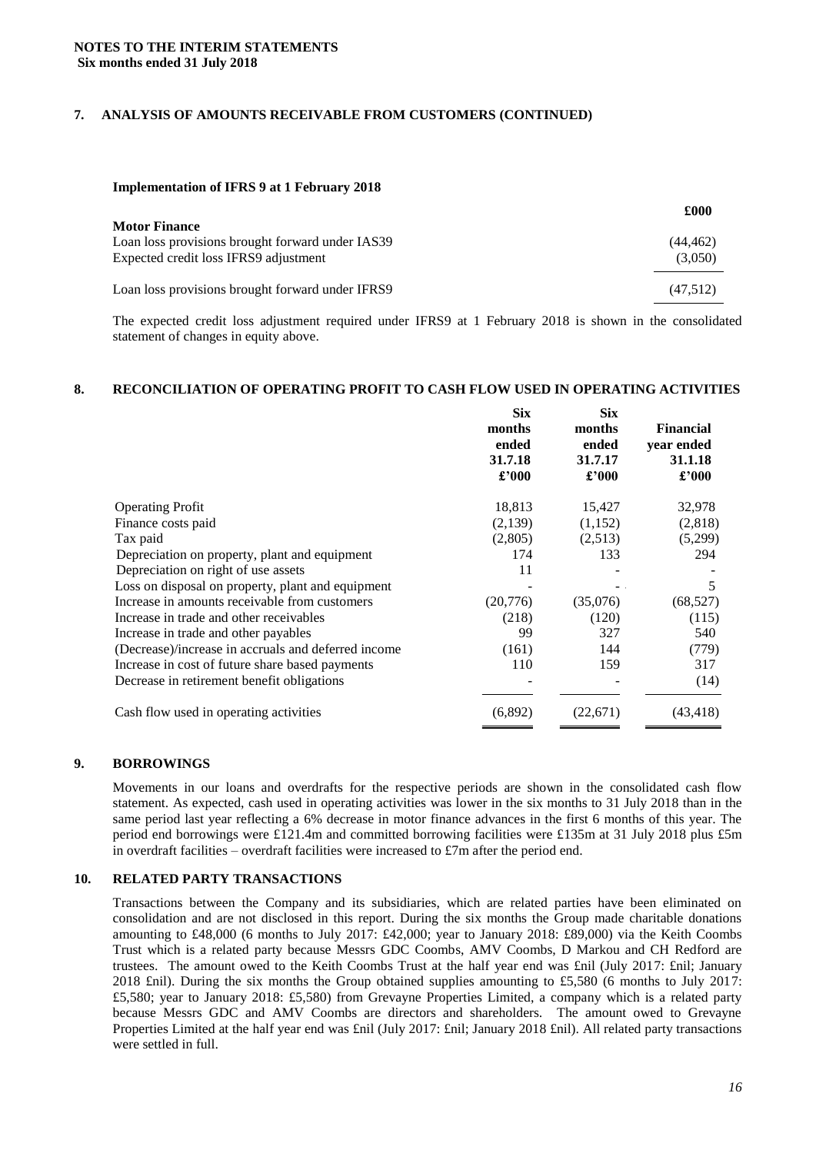## **7. ANALYSIS OF AMOUNTS RECEIVABLE FROM CUSTOMERS (CONTINUED)**

#### **Implementation of IFRS 9 at 1 February 2018**

|                                                                          | £000     |
|--------------------------------------------------------------------------|----------|
| <b>Motor Finance</b><br>Loan loss provisions brought forward under IAS39 | (44.462) |
| Expected credit loss IFRS9 adjustment                                    | (3.050)  |
| Loan loss provisions brought forward under IFRS9                         | (47.512) |

The expected credit loss adjustment required under IFRS9 at 1 February 2018 is shown in the consolidated statement of changes in equity above.

### **8. RECONCILIATION OF OPERATING PROFIT TO CASH FLOW USED IN OPERATING ACTIVITIES**

|                                                     | <b>Six</b><br>months<br>ended<br>31.7.18<br>£'000 | <b>Six</b><br>months<br>ended<br>31.7.17<br>£2000 | <b>Financial</b><br>year ended<br>31.1.18<br>£'000 |
|-----------------------------------------------------|---------------------------------------------------|---------------------------------------------------|----------------------------------------------------|
| <b>Operating Profit</b>                             | 18,813                                            | 15,427                                            | 32,978                                             |
| Finance costs paid                                  | (2,139)                                           | (1,152)                                           | (2,818)                                            |
| Tax paid                                            | (2,805)                                           | (2,513)                                           | (5,299)                                            |
| Depreciation on property, plant and equipment       | 174                                               | 133                                               | 294                                                |
| Depreciation on right of use assets                 | 11                                                |                                                   |                                                    |
| Loss on disposal on property, plant and equipment   |                                                   |                                                   | 5                                                  |
| Increase in amounts receivable from customers       | (20,776)                                          | (35,076)                                          | (68, 527)                                          |
| Increase in trade and other receivables             | (218)                                             | (120)                                             | (115)                                              |
| Increase in trade and other payables                | 99                                                | 327                                               | 540                                                |
| (Decrease)/increase in accruals and deferred income | (161)                                             | 144                                               | (779)                                              |
| Increase in cost of future share based payments     | 110                                               | 159                                               | 317                                                |
| Decrease in retirement benefit obligations          |                                                   |                                                   | (14)                                               |
| Cash flow used in operating activities              | (6,892)                                           | (22,671)                                          | (43, 418)                                          |

## **9. BORROWINGS**

Movements in our loans and overdrafts for the respective periods are shown in the consolidated cash flow statement. As expected, cash used in operating activities was lower in the six months to 31 July 2018 than in the same period last year reflecting a 6% decrease in motor finance advances in the first 6 months of this year. The period end borrowings were £121.4m and committed borrowing facilities were £135m at 31 July 2018 plus £5m in overdraft facilities – overdraft facilities were increased to  $\pounds 7m$  after the period end.

## **10. RELATED PARTY TRANSACTIONS**

Transactions between the Company and its subsidiaries, which are related parties have been eliminated on consolidation and are not disclosed in this report. During the six months the Group made charitable donations amounting to £48,000 (6 months to July 2017: £42,000; year to January 2018: £89,000) via the Keith Coombs Trust which is a related party because Messrs GDC Coombs, AMV Coombs, D Markou and CH Redford are trustees. The amount owed to the Keith Coombs Trust at the half year end was £nil (July 2017: £nil; January 2018 £nil). During the six months the Group obtained supplies amounting to £5,580 (6 months to July 2017: £5,580; year to January 2018: £5,580) from Grevayne Properties Limited, a company which is a related party because Messrs GDC and AMV Coombs are directors and shareholders. The amount owed to Grevayne Properties Limited at the half year end was £nil (July 2017: £nil; January 2018 £nil). All related party transactions were settled in full.